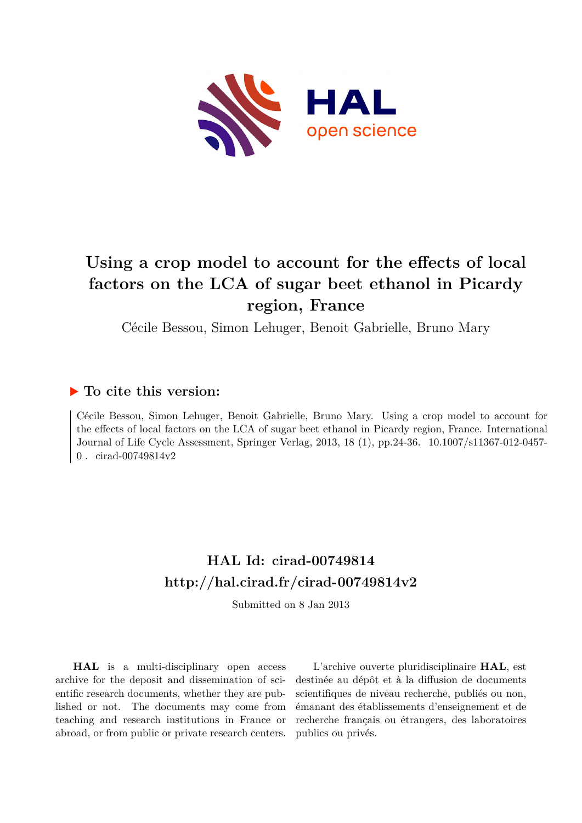

# **Using a crop model to account for the effects of local factors on the LCA of sugar beet ethanol in Picardy region, France**

Cécile Bessou, Simon Lehuger, Benoit Gabrielle, Bruno Mary

### **To cite this version:**

Cécile Bessou, Simon Lehuger, Benoit Gabrielle, Bruno Mary. Using a crop model to account for the effects of local factors on the LCA of sugar beet ethanol in Picardy region, France. International Journal of Life Cycle Assessment, Springer Verlag, 2013, 18 (1), pp.24-36. 10.1007/s11367-012-0457- $0.$  cirad-00749814v2

## **HAL Id: cirad-00749814 <http://hal.cirad.fr/cirad-00749814v2>**

Submitted on 8 Jan 2013

**HAL** is a multi-disciplinary open access archive for the deposit and dissemination of scientific research documents, whether they are published or not. The documents may come from teaching and research institutions in France or abroad, or from public or private research centers.

L'archive ouverte pluridisciplinaire **HAL**, est destinée au dépôt et à la diffusion de documents scientifiques de niveau recherche, publiés ou non, émanant des établissements d'enseignement et de recherche français ou étrangers, des laboratoires publics ou privés.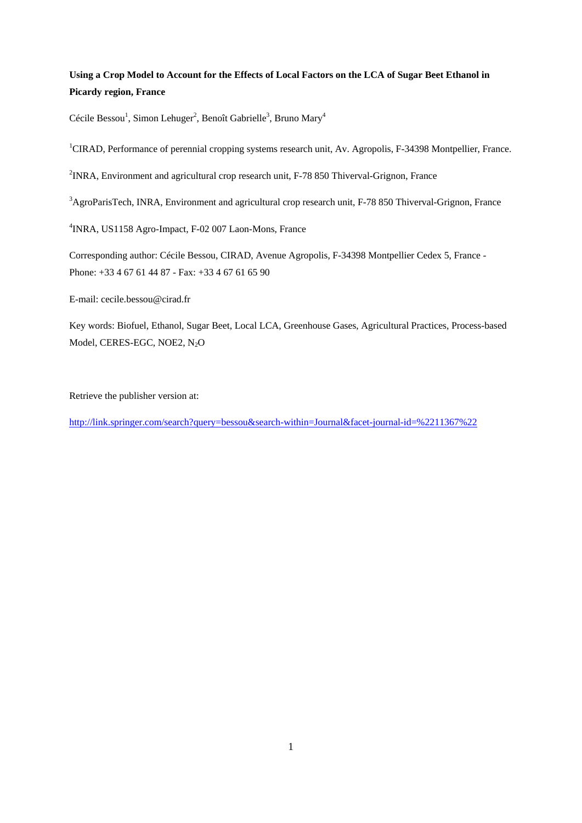### **Using a Crop Model to Account for the Effects of Local Factors on the LCA of Sugar Beet Ethanol in Picardy region, France**

Cécile Bessou<sup>1</sup>, Simon Lehuger<sup>2</sup>, Benoît Gabrielle<sup>3</sup>, Bruno Mary<sup>4</sup>

<sup>1</sup>CIRAD, Performance of perennial cropping systems research unit, Av. Agropolis, F-34398 Montpellier, France.

<sup>2</sup>INRA, Environment and agricultural crop research unit, F-78 850 Thiverval-Grignon, France

<sup>3</sup>AgroParisTech, INRA, Environment and agricultural crop research unit, F-78 850 Thiverval-Grignon, France

4 INRA, US1158 Agro-Impact, F-02 007 Laon-Mons, France

Corresponding author: Cécile Bessou, CIRAD, Avenue Agropolis, F-34398 Montpellier Cedex 5, France - Phone: +33 4 67 61 44 87 - Fax: +33 4 67 61 65 90

E-mail: cecile.bessou@cirad.fr

Key words: Biofuel, Ethanol, Sugar Beet, Local LCA, Greenhouse Gases, Agricultural Practices, Process-based Model, CERES-EGC, NOE2, N<sub>2</sub>O

Retrieve the publisher version at:

<http://link.springer.com/search?query=bessou&search-within=Journal&facet-journal-id=%2211367%22>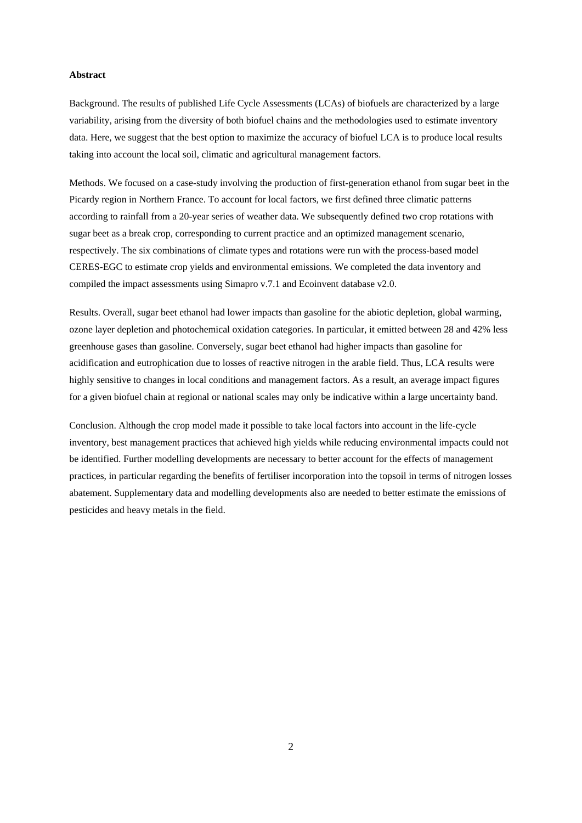#### **Abstract**

Background. The results of published Life Cycle Assessments (LCAs) of biofuels are characterized by a large variability, arising from the diversity of both biofuel chains and the methodologies used to estimate inventory data. Here, we suggest that the best option to maximize the accuracy of biofuel LCA is to produce local results taking into account the local soil, climatic and agricultural management factors.

Methods. We focused on a case-study involving the production of first-generation ethanol from sugar beet in the Picardy region in Northern France. To account for local factors, we first defined three climatic patterns according to rainfall from a 20-year series of weather data. We subsequently defined two crop rotations with sugar beet as a break crop, corresponding to current practice and an optimized management scenario, respectively. The six combinations of climate types and rotations were run with the process-based model CERES-EGC to estimate crop yields and environmental emissions. We completed the data inventory and compiled the impact assessments using Simapro v.7.1 and Ecoinvent database v2.0.

Results. Overall, sugar beet ethanol had lower impacts than gasoline for the abiotic depletion, global warming, ozone layer depletion and photochemical oxidation categories. In particular, it emitted between 28 and 42% less greenhouse gases than gasoline. Conversely, sugar beet ethanol had higher impacts than gasoline for acidification and eutrophication due to losses of reactive nitrogen in the arable field. Thus, LCA results were highly sensitive to changes in local conditions and management factors. As a result, an average impact figures for a given biofuel chain at regional or national scales may only be indicative within a large uncertainty band.

Conclusion. Although the crop model made it possible to take local factors into account in the life-cycle inventory, best management practices that achieved high yields while reducing environmental impacts could not be identified. Further modelling developments are necessary to better account for the effects of management practices, in particular regarding the benefits of fertiliser incorporation into the topsoil in terms of nitrogen losses abatement. Supplementary data and modelling developments also are needed to better estimate the emissions of pesticides and heavy metals in the field.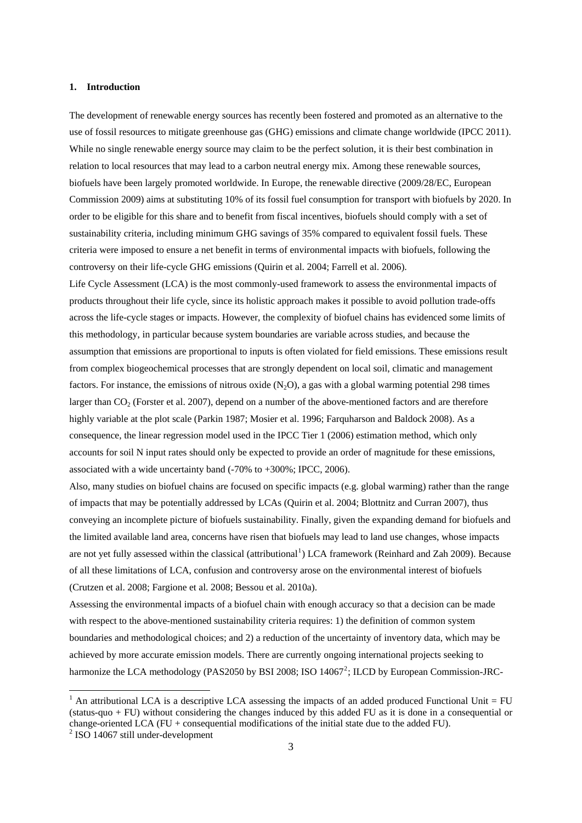#### **1. Introduction**

The development of renewable energy sources has recently been fostered and promoted as an alternative to the use of fossil resources to mitigate greenhouse gas (GHG) emissions and climate change worldwide (IPCC 2011). While no single renewable energy source may claim to be the perfect solution, it is their best combination in relation to local resources that may lead to a carbon neutral energy mix. Among these renewable sources, biofuels have been largely promoted worldwide. In Europe, the renewable directive (2009/28/EC, European Commission 2009) aims at substituting 10% of its fossil fuel consumption for transport with biofuels by 2020. In order to be eligible for this share and to benefit from fiscal incentives, biofuels should comply with a set of sustainability criteria, including minimum GHG savings of 35% compared to equivalent fossil fuels. These criteria were imposed to ensure a net benefit in terms of environmental impacts with biofuels, following the controversy on their life-cycle GHG emissions (Quirin et al. 2004; Farrell et al. 2006).

Life Cycle Assessment (LCA) is the most commonly-used framework to assess the environmental impacts of products throughout their life cycle, since its holistic approach makes it possible to avoid pollution trade-offs across the life-cycle stages or impacts. However, the complexity of biofuel chains has evidenced some limits of this methodology, in particular because system boundaries are variable across studies, and because the assumption that emissions are proportional to inputs is often violated for field emissions. These emissions result from complex biogeochemical processes that are strongly dependent on local soil, climatic and management factors. For instance, the emissions of nitrous oxide  $(N_2O)$ , a gas with a global warming potential 298 times larger than  $CO<sub>2</sub>$  (Forster et al. 2007), depend on a number of the above-mentioned factors and are therefore highly variable at the plot scale (Parkin 1987; Mosier et al. 1996; Farquharson and Baldock 2008). As a consequence, the linear regression model used in the IPCC Tier 1 (2006) estimation method, which only accounts for soil N input rates should only be expected to provide an order of magnitude for these emissions, associated with a wide uncertainty band (-70% to +300%; IPCC, 2006).

Also, many studies on biofuel chains are focused on specific impacts (e.g. global warming) rather than the range of impacts that may be potentially addressed by LCAs (Quirin et al. 2004; Blottnitz and Curran 2007), thus conveying an incomplete picture of biofuels sustainability. Finally, given the expanding demand for biofuels and the limited available land area, concerns have risen that biofuels may lead to land use changes, whose impacts are not yet fully assessed within the classical (attributional<sup>[1](#page-3-0)</sup>) LCA framework (Reinhard and Zah 2009). Because of all these limitations of LCA, confusion and controversy arose on the environmental interest of biofuels (Crutzen et al. 2008; Fargione et al. 2008; Bessou et al. 2010a).

Assessing the environmental impacts of a biofuel chain with enough accuracy so that a decision can be made with respect to the above-mentioned sustainability criteria requires: 1) the definition of common system boundaries and methodological choices; and 2) a reduction of the uncertainty of inventory data, which may be achieved by more accurate emission models. There are currently ongoing international projects seeking to harmonize the LCA methodology (PAS[2](#page-3-1)050 by BSI 2008; ISO 14067<sup>2</sup>; ILCD by European Commission-JRC-

1

<span id="page-3-0"></span><sup>&</sup>lt;sup>1</sup> An attributional LCA is a descriptive LCA assessing the impacts of an added produced Functional Unit = FU (status-quo + FU) without considering the changes induced by this added FU as it is done in a consequential or change-oriented LCA (FU + consequential modifications of the initial state due to the added FU). 2

<span id="page-3-1"></span> $2$  ISO 14067 still under-development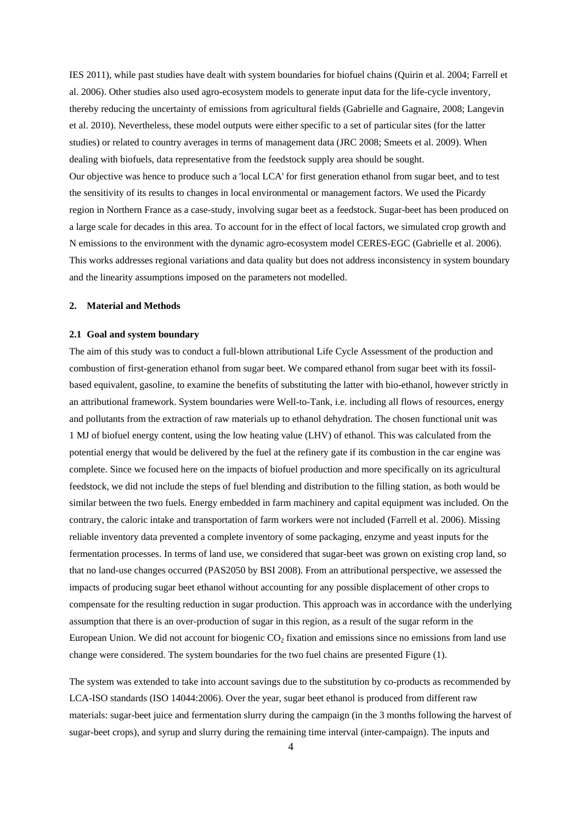IES 2011), while past studies have dealt with system boundaries for biofuel chains (Quirin et al. 2004; Farrell et al. 2006). Other studies also used agro-ecosystem models to generate input data for the life-cycle inventory, thereby reducing the uncertainty of emissions from agricultural fields (Gabrielle and Gagnaire, 2008; Langevin et al. 2010). Nevertheless, these model outputs were either specific to a set of particular sites (for the latter studies) or related to country averages in terms of management data (JRC 2008; Smeets et al. 2009). When dealing with biofuels, data representative from the feedstock supply area should be sought. Our objective was hence to produce such a 'local LCA' for first generation ethanol from sugar beet, and to test the sensitivity of its results to changes in local environmental or management factors. We used the Picardy region in Northern France as a case-study, involving sugar beet as a feedstock. Sugar-beet has been produced on a large scale for decades in this area. To account for in the effect of local factors, we simulated crop growth and N emissions to the environment with the dynamic agro-ecosystem model CERES-EGC (Gabrielle et al. 2006). This works addresses regional variations and data quality but does not address inconsistency in system boundary and the linearity assumptions imposed on the parameters not modelled.

#### **2. Material and Methods**

#### **2.1 Goal and system boundary**

The aim of this study was to conduct a full-blown attributional Life Cycle Assessment of the production and combustion of first-generation ethanol from sugar beet. We compared ethanol from sugar beet with its fossilbased equivalent, gasoline, to examine the benefits of substituting the latter with bio-ethanol, however strictly in an attributional framework. System boundaries were Well-to-Tank, i.e. including all flows of resources, energy and pollutants from the extraction of raw materials up to ethanol dehydration. The chosen functional unit was 1 MJ of biofuel energy content, using the low heating value (LHV) of ethanol. This was calculated from the potential energy that would be delivered by the fuel at the refinery gate if its combustion in the car engine was complete. Since we focused here on the impacts of biofuel production and more specifically on its agricultural feedstock, we did not include the steps of fuel blending and distribution to the filling station, as both would be similar between the two fuels. Energy embedded in farm machinery and capital equipment was included. On the contrary, the caloric intake and transportation of farm workers were not included (Farrell et al. 2006). Missing reliable inventory data prevented a complete inventory of some packaging, enzyme and yeast inputs for the fermentation processes. In terms of land use, we considered that sugar-beet was grown on existing crop land, so that no land-use changes occurred (PAS2050 by BSI 2008). From an attributional perspective, we assessed the impacts of producing sugar beet ethanol without accounting for any possible displacement of other crops to compensate for the resulting reduction in sugar production. This approach was in accordance with the underlying assumption that there is an over-production of sugar in this region, as a result of the sugar reform in the European Union. We did not account for biogenic  $CO<sub>2</sub>$  fixation and emissions since no emissions from land use change were considered. The system boundaries for the two fuel chains are presented Figure (1).

The system was extended to take into account savings due to the substitution by co-products as recommended by LCA-ISO standards (ISO 14044:2006). Over the year, sugar beet ethanol is produced from different raw materials: sugar-beet juice and fermentation slurry during the campaign (in the 3 months following the harvest of sugar-beet crops), and syrup and slurry during the remaining time interval (inter-campaign). The inputs and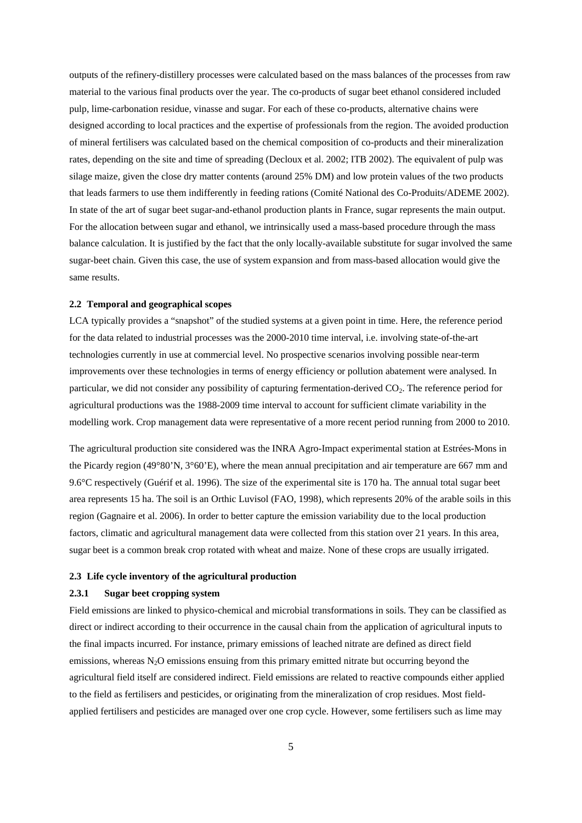outputs of the refinery-distillery processes were calculated based on the mass balances of the processes from raw material to the various final products over the year. The co-products of sugar beet ethanol considered included pulp, lime-carbonation residue, vinasse and sugar. For each of these co-products, alternative chains were designed according to local practices and the expertise of professionals from the region. The avoided production of mineral fertilisers was calculated based on the chemical composition of co-products and their mineralization rates, depending on the site and time of spreading (Decloux et al. 2002; ITB 2002). The equivalent of pulp was silage maize, given the close dry matter contents (around 25% DM) and low protein values of the two products that leads farmers to use them indifferently in feeding rations (Comité National des Co-Produits/ADEME 2002). In state of the art of sugar beet sugar-and-ethanol production plants in France, sugar represents the main output. For the allocation between sugar and ethanol, we intrinsically used a mass-based procedure through the mass balance calculation. It is justified by the fact that the only locally-available substitute for sugar involved the same sugar-beet chain. Given this case, the use of system expansion and from mass-based allocation would give the same results.

#### **2.2 Temporal and geographical scopes**

LCA typically provides a "snapshot" of the studied systems at a given point in time. Here, the reference period for the data related to industrial processes was the 2000-2010 time interval, i.e. involving state-of-the-art technologies currently in use at commercial level. No prospective scenarios involving possible near-term improvements over these technologies in terms of energy efficiency or pollution abatement were analysed. In particular, we did not consider any possibility of capturing fermentation-derived  $CO<sub>2</sub>$ . The reference period for agricultural productions was the 1988-2009 time interval to account for sufficient climate variability in the modelling work. Crop management data were representative of a more recent period running from 2000 to 2010.

The agricultural production site considered was the INRA Agro-Impact experimental station at Estrées-Mons in the Picardy region (49°80'N, 3°60'E), where the mean annual precipitation and air temperature are 667 mm and 9.6°C respectively (Guérif et al. 1996). The size of the experimental site is 170 ha. The annual total sugar beet area represents 15 ha. The soil is an Orthic Luvisol (FAO, 1998), which represents 20% of the arable soils in this region (Gagnaire et al. 2006). In order to better capture the emission variability due to the local production factors, climatic and agricultural management data were collected from this station over 21 years. In this area, sugar beet is a common break crop rotated with wheat and maize. None of these crops are usually irrigated.

#### **2.3 Life cycle inventory of the agricultural production**

#### **2.3.1 Sugar beet cropping system**

Field emissions are linked to physico-chemical and microbial transformations in soils. They can be classified as direct or indirect according to their occurrence in the causal chain from the application of agricultural inputs to the final impacts incurred. For instance, primary emissions of leached nitrate are defined as direct field emissions, whereas  $N_2O$  emissions ensuing from this primary emitted nitrate but occurring beyond the agricultural field itself are considered indirect. Field emissions are related to reactive compounds either applied to the field as fertilisers and pesticides, or originating from the mineralization of crop residues. Most fieldapplied fertilisers and pesticides are managed over one crop cycle. However, some fertilisers such as lime may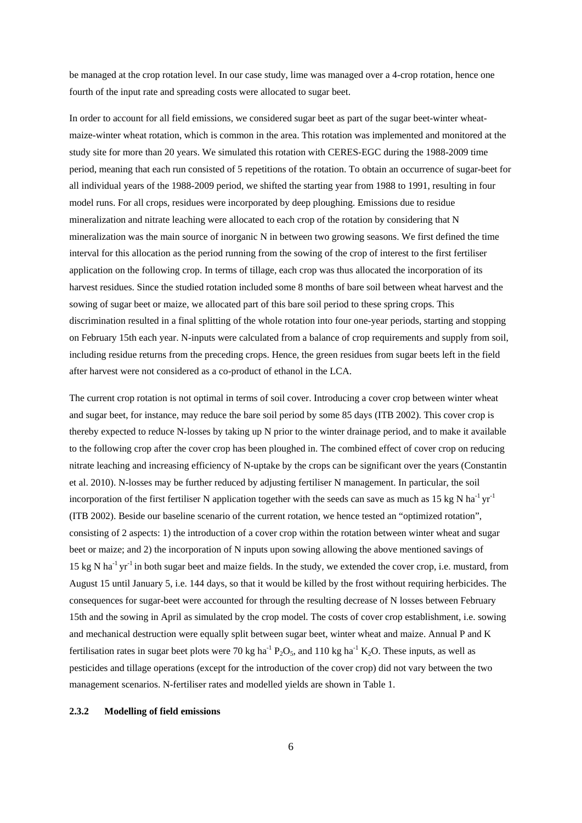be managed at the crop rotation level. In our case study, lime was managed over a 4-crop rotation, hence one fourth of the input rate and spreading costs were allocated to sugar beet.

In order to account for all field emissions, we considered sugar beet as part of the sugar beet-winter wheatmaize-winter wheat rotation, which is common in the area. This rotation was implemented and monitored at the study site for more than 20 years. We simulated this rotation with CERES-EGC during the 1988-2009 time period, meaning that each run consisted of 5 repetitions of the rotation. To obtain an occurrence of sugar-beet for all individual years of the 1988-2009 period, we shifted the starting year from 1988 to 1991, resulting in four model runs. For all crops, residues were incorporated by deep ploughing. Emissions due to residue mineralization and nitrate leaching were allocated to each crop of the rotation by considering that N mineralization was the main source of inorganic N in between two growing seasons. We first defined the time interval for this allocation as the period running from the sowing of the crop of interest to the first fertiliser application on the following crop. In terms of tillage, each crop was thus allocated the incorporation of its harvest residues. Since the studied rotation included some 8 months of bare soil between wheat harvest and the sowing of sugar beet or maize, we allocated part of this bare soil period to these spring crops. This discrimination resulted in a final splitting of the whole rotation into four one-year periods, starting and stopping on February 15th each year. N-inputs were calculated from a balance of crop requirements and supply from soil, including residue returns from the preceding crops. Hence, the green residues from sugar beets left in the field after harvest were not considered as a co-product of ethanol in the LCA.

The current crop rotation is not optimal in terms of soil cover. Introducing a cover crop between winter wheat and sugar beet, for instance, may reduce the bare soil period by some 85 days (ITB 2002). This cover crop is thereby expected to reduce N-losses by taking up N prior to the winter drainage period, and to make it available to the following crop after the cover crop has been ploughed in. The combined effect of cover crop on reducing nitrate leaching and increasing efficiency of N-uptake by the crops can be significant over the years (Constantin et al. 2010). N-losses may be further reduced by adjusting fertiliser N management. In particular, the soil incorporation of the first fertiliser N application together with the seeds can save as much as 15 kg N ha<sup>-1</sup> yr<sup>-1</sup> (ITB 2002). Beside our baseline scenario of the current rotation, we hence tested an "optimized rotation", consisting of 2 aspects: 1) the introduction of a cover crop within the rotation between winter wheat and sugar beet or maize; and 2) the incorporation of N inputs upon sowing allowing the above mentioned savings of 15 kg N ha<sup>-1</sup> yr<sup>-1</sup> in both sugar beet and maize fields. In the study, we extended the cover crop, i.e. mustard, from August 15 until January 5, i.e. 144 days, so that it would be killed by the frost without requiring herbicides. The consequences for sugar-beet were accounted for through the resulting decrease of N losses between February 15th and the sowing in April as simulated by the crop model. The costs of cover crop establishment, i.e. sowing and mechanical destruction were equally split between sugar beet, winter wheat and maize. Annual P and K fertilisation rates in sugar beet plots were 70 kg ha<sup>-1</sup> P<sub>2</sub>O<sub>5</sub>, and 110 kg ha<sup>-1</sup> K<sub>2</sub>O. These inputs, as well as pesticides and tillage operations (except for the introduction of the cover crop) did not vary between the two management scenarios. N-fertiliser rates and modelled yields are shown in Table 1.

#### **2.3.2 Modelling of field emissions**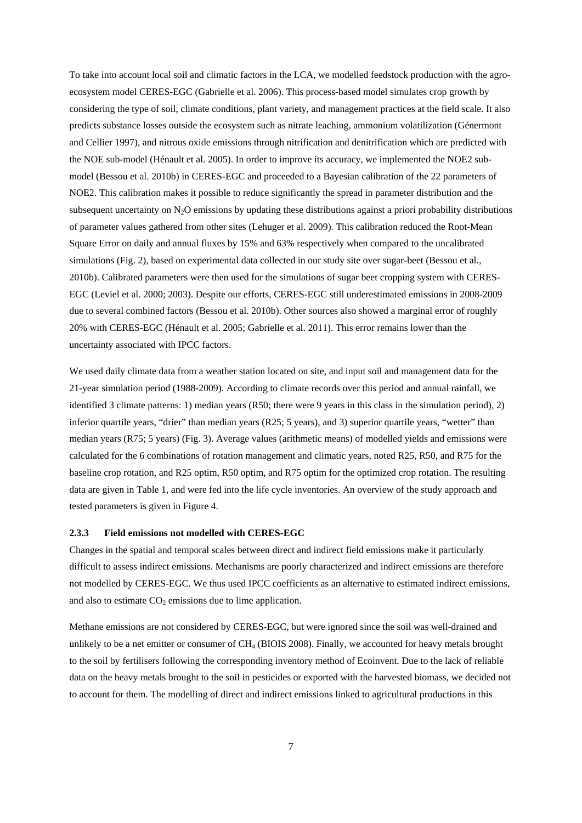To take into account local soil and climatic factors in the LCA, we modelled feedstock production with the agroecosystem model CERES-EGC (Gabrielle et al. 2006). This process-based model simulates crop growth by considering the type of soil, climate conditions, plant variety, and management practices at the field scale. It also predicts substance losses outside the ecosystem such as nitrate leaching, ammonium volatilization (Génermont and Cellier 1997), and nitrous oxide emissions through nitrification and denitrification which are predicted with the NOE sub-model (Hénault et al. 2005). In order to improve its accuracy, we implemented the NOE2 submodel (Bessou et al. 2010b) in CERES-EGC and proceeded to a Bayesian calibration of the 22 parameters of NOE2. This calibration makes it possible to reduce significantly the spread in parameter distribution and the subsequent uncertainty on  $N_2O$  emissions by updating these distributions against a priori probability distributions of parameter values gathered from other sites (Lehuger et al. 2009). This calibration reduced the Root-Mean Square Error on daily and annual fluxes by 15% and 63% respectively when compared to the uncalibrated simulations (Fig. 2), based on experimental data collected in our study site over sugar-beet (Bessou et al., 2010b). Calibrated parameters were then used for the simulations of sugar beet cropping system with CERES-EGC (Leviel et al. 2000; 2003). Despite our efforts, CERES-EGC still underestimated emissions in 2008-2009 due to several combined factors (Bessou et al. 2010b). Other sources also showed a marginal error of roughly 20% with CERES-EGC (Hénault et al. 2005; Gabrielle et al. 2011). This error remains lower than the uncertainty associated with IPCC factors.

We used daily climate data from a weather station located on site, and input soil and management data for the 21-year simulation period (1988-2009). According to climate records over this period and annual rainfall, we identified 3 climate patterns: 1) median years (R50; there were 9 years in this class in the simulation period), 2) inferior quartile years, "drier" than median years (R25; 5 years), and 3) superior quartile years, "wetter" than median years (R75; 5 years) (Fig. 3). Average values (arithmetic means) of modelled yields and emissions were calculated for the 6 combinations of rotation management and climatic years, noted R25, R50, and R75 for the baseline crop rotation, and R25 optim, R50 optim, and R75 optim for the optimized crop rotation. The resulting data are given in Table 1, and were fed into the life cycle inventories. An overview of the study approach and tested parameters is given in Figure 4.

#### **2.3.3 Field emissions not modelled with CERES-EGC**

Changes in the spatial and temporal scales between direct and indirect field emissions make it particularly difficult to assess indirect emissions. Mechanisms are poorly characterized and indirect emissions are therefore not modelled by CERES-EGC. We thus used IPCC coefficients as an alternative to estimated indirect emissions, and also to estimate  $CO<sub>2</sub>$  emissions due to lime application.

Methane emissions are not considered by CERES-EGC, but were ignored since the soil was well-drained and unlikely to be a net emitter or consumer of CH4 (BIOIS 2008). Finally, we accounted for heavy metals brought to the soil by fertilisers following the corresponding inventory method of Ecoinvent. Due to the lack of reliable data on the heavy metals brought to the soil in pesticides or exported with the harvested biomass, we decided not to account for them. The modelling of direct and indirect emissions linked to agricultural productions in this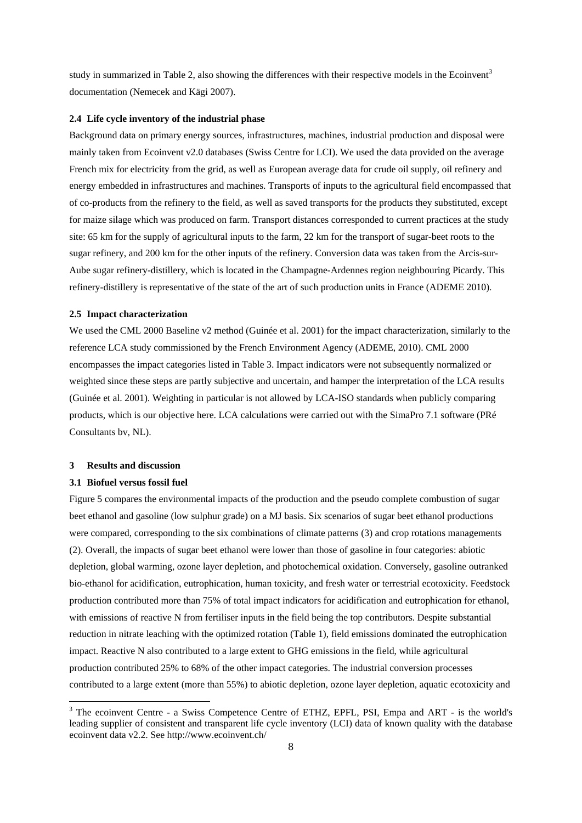study in summarized in Table 2, also showing the differences with their respective models in the Ecoinvent<sup>[3](#page-8-0)</sup> documentation (Nemecek and Kägi 2007).

#### **2.4 Life cycle inventory of the industrial phase**

Background data on primary energy sources, infrastructures, machines, industrial production and disposal were mainly taken from Ecoinvent v2.0 databases (Swiss Centre for LCI). We used the data provided on the average French mix for electricity from the grid, as well as European average data for crude oil supply, oil refinery and energy embedded in infrastructures and machines. Transports of inputs to the agricultural field encompassed that of co-products from the refinery to the field, as well as saved transports for the products they substituted, except for maize silage which was produced on farm. Transport distances corresponded to current practices at the study site: 65 km for the supply of agricultural inputs to the farm, 22 km for the transport of sugar-beet roots to the sugar refinery, and 200 km for the other inputs of the refinery. Conversion data was taken from the Arcis-sur-Aube sugar refinery-distillery, which is located in the Champagne-Ardennes region neighbouring Picardy. This refinery-distillery is representative of the state of the art of such production units in France (ADEME 2010).

#### **2.5 Impact characterization**

We used the CML 2000 Baseline v2 method (Guinée et al. 2001) for the impact characterization, similarly to the reference LCA study commissioned by the French Environment Agency (ADEME, 2010). CML 2000 encompasses the impact categories listed in Table 3. Impact indicators were not subsequently normalized or weighted since these steps are partly subjective and uncertain, and hamper the interpretation of the LCA results (Guinée et al. 2001). Weighting in particular is not allowed by LCA-ISO standards when publicly comparing products, which is our objective here. LCA calculations were carried out with the SimaPro 7.1 software (PRé Consultants bv, NL).

#### **3 Results and discussion**

-

#### **3.1 Biofuel versus fossil fuel**

Figure 5 compares the environmental impacts of the production and the pseudo complete combustion of sugar beet ethanol and gasoline (low sulphur grade) on a MJ basis. Six scenarios of sugar beet ethanol productions were compared, corresponding to the six combinations of climate patterns (3) and crop rotations managements (2). Overall, the impacts of sugar beet ethanol were lower than those of gasoline in four categories: abiotic depletion, global warming, ozone layer depletion, and photochemical oxidation. Conversely, gasoline outranked bio-ethanol for acidification, eutrophication, human toxicity, and fresh water or terrestrial ecotoxicity. Feedstock production contributed more than 75% of total impact indicators for acidification and eutrophication for ethanol, with emissions of reactive N from fertiliser inputs in the field being the top contributors. Despite substantial reduction in nitrate leaching with the optimized rotation (Table 1), field emissions dominated the eutrophication impact. Reactive N also contributed to a large extent to GHG emissions in the field, while agricultural production contributed 25% to 68% of the other impact categories. The industrial conversion processes contributed to a large extent (more than 55%) to abiotic depletion, ozone layer depletion, aquatic ecotoxicity and

<span id="page-8-0"></span><sup>&</sup>lt;sup>3</sup> The ecoinvent Centre - a Swiss Competence Centre of ETHZ, EPFL, PSI, Empa and ART - is the world's leading supplier of consistent and transparent life cycle inventory (LCI) data of known quality with the database ecoinvent data v2.2. See http://www.ecoinvent.ch/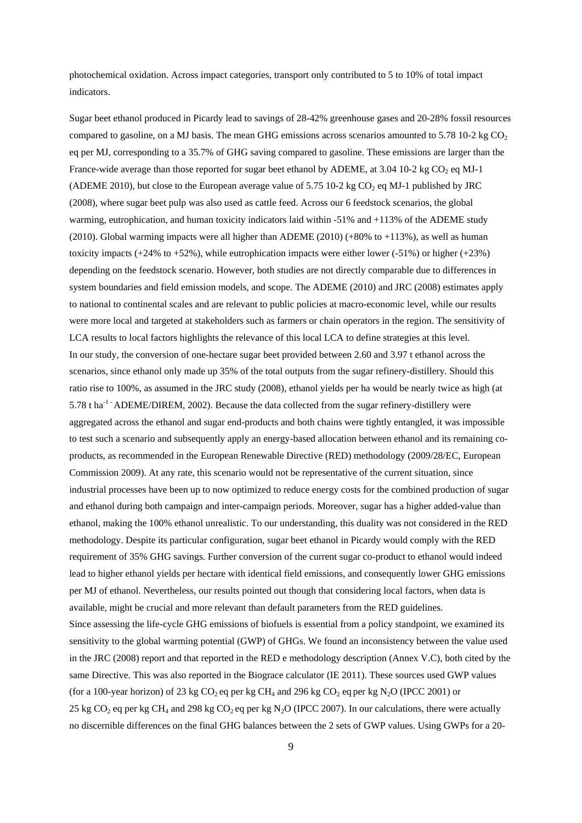photochemical oxidation. Across impact categories, transport only contributed to 5 to 10% of total impact indicators.

Sugar beet ethanol produced in Picardy lead to savings of 28-42% greenhouse gases and 20-28% fossil resources compared to gasoline, on a MJ basis. The mean GHG emissions across scenarios amounted to 5.78 10-2 kg  $CO<sub>2</sub>$ eq per MJ, corresponding to a 35.7% of GHG saving compared to gasoline. These emissions are larger than the France-wide average than those reported for sugar beet ethanol by ADEME, at 3.04 10-2 kg CO<sub>2</sub> eq MJ-1 (ADEME 2010), but close to the European average value of 5.75 10-2 kg  $CO<sub>2</sub>$  eq MJ-1 published by JRC (2008), where sugar beet pulp was also used as cattle feed. Across our 6 feedstock scenarios, the global warming, eutrophication, and human toxicity indicators laid within -51% and +113% of the ADEME study (2010). Global warming impacts were all higher than ADEME (2010) (+80% to +113%), as well as human toxicity impacts (+24% to +52%), while eutrophication impacts were either lower (-51%) or higher (+23%) depending on the feedstock scenario. However, both studies are not directly comparable due to differences in system boundaries and field emission models, and scope. The ADEME (2010) and JRC (2008) estimates apply to national to continental scales and are relevant to public policies at macro-economic level, while our results were more local and targeted at stakeholders such as farmers or chain operators in the region. The sensitivity of LCA results to local factors highlights the relevance of this local LCA to define strategies at this level. In our study, the conversion of one-hectare sugar beet provided between 2.60 and 3.97 t ethanol across the scenarios, since ethanol only made up 35% of the total outputs from the sugar refinery-distillery. Should this ratio rise to 100%, as assumed in the JRC study (2008), ethanol yields per ha would be nearly twice as high (at 5.78 t ha<sup>-1 -</sup> ADEME/DIREM, 2002). Because the data collected from the sugar refinery-distillery were aggregated across the ethanol and sugar end-products and both chains were tightly entangled, it was impossible to test such a scenario and subsequently apply an energy-based allocation between ethanol and its remaining coproducts, as recommended in the European Renewable Directive (RED) methodology (2009/28/EC, European Commission 2009). At any rate, this scenario would not be representative of the current situation, since industrial processes have been up to now optimized to reduce energy costs for the combined production of sugar and ethanol during both campaign and inter-campaign periods. Moreover, sugar has a higher added-value than ethanol, making the 100% ethanol unrealistic. To our understanding, this duality was not considered in the RED methodology. Despite its particular configuration, sugar beet ethanol in Picardy would comply with the RED requirement of 35% GHG savings. Further conversion of the current sugar co-product to ethanol would indeed lead to higher ethanol yields per hectare with identical field emissions, and consequently lower GHG emissions per MJ of ethanol. Nevertheless, our results pointed out though that considering local factors, when data is available, might be crucial and more relevant than default parameters from the RED guidelines. Since assessing the life-cycle GHG emissions of biofuels is essential from a policy standpoint, we examined its sensitivity to the global warming potential (GWP) of GHGs. We found an inconsistency between the value used in the JRC (2008) report and that reported in the RED e methodology description (Annex V.C), both cited by the same Directive. This was also reported in the Biograce calculator (IE 2011). These sources used GWP values (for a 100-year horizon) of 23 kg CO<sub>2</sub> eq per kg CH<sub>4</sub> and 296 kg CO<sub>2</sub> eq per kg N<sub>2</sub>O (IPCC 2001) or 25 kg CO<sub>2</sub> eq per kg CH<sub>4</sub> and 298 kg CO<sub>2</sub> eq per kg N<sub>2</sub>O (IPCC 2007). In our calculations, there were actually no discernible differences on the final GHG balances between the 2 sets of GWP values. Using GWPs for a 20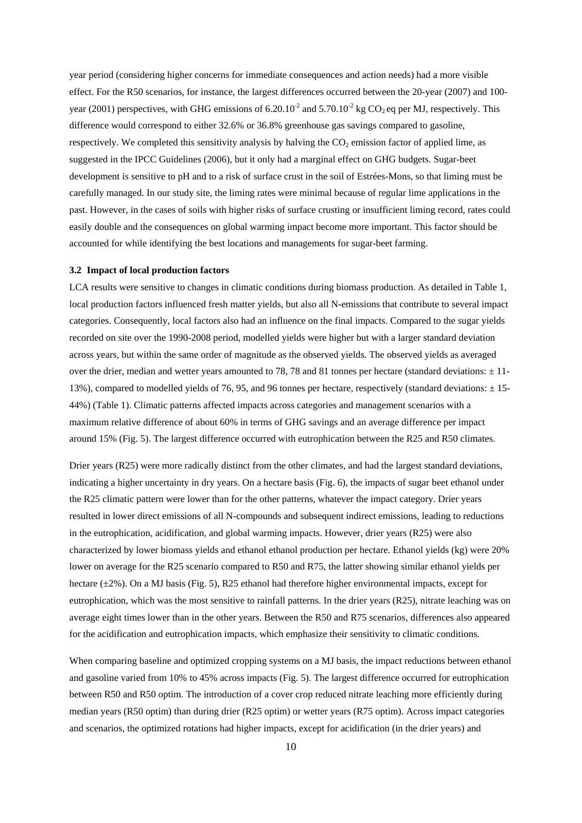year period (considering higher concerns for immediate consequences and action needs) had a more visible effect. For the R50 scenarios, for instance, the largest differences occurred between the 20-year (2007) and 100 year (2001) perspectives, with GHG emissions of  $6.20.10^{-2}$  and  $5.70.10^{-2}$  kg CO<sub>2</sub> eq per MJ, respectively. This difference would correspond to either 32.6% or 36.8% greenhouse gas savings compared to gasoline, respectively. We completed this sensitivity analysis by halving the  $CO<sub>2</sub>$  emission factor of applied lime, as suggested in the IPCC Guidelines (2006), but it only had a marginal effect on GHG budgets. Sugar-beet development is sensitive to pH and to a risk of surface crust in the soil of Estrées-Mons, so that liming must be carefully managed. In our study site, the liming rates were minimal because of regular lime applications in the past. However, in the cases of soils with higher risks of surface crusting or insufficient liming record, rates could easily double and the consequences on global warming impact become more important. This factor should be accounted for while identifying the best locations and managements for sugar-beet farming.

#### **3.2 Impact of local production factors**

LCA results were sensitive to changes in climatic conditions during biomass production. As detailed in Table 1, local production factors influenced fresh matter yields, but also all N-emissions that contribute to several impact categories. Consequently, local factors also had an influence on the final impacts. Compared to the sugar yields recorded on site over the 1990-2008 period, modelled yields were higher but with a larger standard deviation across years, but within the same order of magnitude as the observed yields. The observed yields as averaged over the drier, median and wetter years amounted to 78, 78 and 81 tonnes per hectare (standard deviations:  $\pm$  11-13%), compared to modelled yields of 76, 95, and 96 tonnes per hectare, respectively (standard deviations:  $\pm$  15-44%) (Table 1). Climatic patterns affected impacts across categories and management scenarios with a maximum relative difference of about 60% in terms of GHG savings and an average difference per impact around 15% (Fig. 5). The largest difference occurred with eutrophication between the R25 and R50 climates.

Drier years (R25) were more radically distinct from the other climates, and had the largest standard deviations, indicating a higher uncertainty in dry years. On a hectare basis (Fig. 6), the impacts of sugar beet ethanol under the R25 climatic pattern were lower than for the other patterns, whatever the impact category. Drier years resulted in lower direct emissions of all N-compounds and subsequent indirect emissions, leading to reductions in the eutrophication, acidification, and global warming impacts. However, drier years (R25) were also characterized by lower biomass yields and ethanol ethanol production per hectare. Ethanol yields (kg) were 20% lower on average for the R25 scenario compared to R50 and R75, the latter showing similar ethanol yields per hectare ( $\pm 2\%$ ). On a MJ basis (Fig. 5), R25 ethanol had therefore higher environmental impacts, except for eutrophication, which was the most sensitive to rainfall patterns. In the drier years (R25), nitrate leaching was on average eight times lower than in the other years. Between the R50 and R75 scenarios, differences also appeared for the acidification and eutrophication impacts, which emphasize their sensitivity to climatic conditions.

When comparing baseline and optimized cropping systems on a MJ basis, the impact reductions between ethanol and gasoline varied from 10% to 45% across impacts (Fig. 5). The largest difference occurred for eutrophication between R50 and R50 optim. The introduction of a cover crop reduced nitrate leaching more efficiently during median years (R50 optim) than during drier (R25 optim) or wetter years (R75 optim). Across impact categories and scenarios, the optimized rotations had higher impacts, except for acidification (in the drier years) and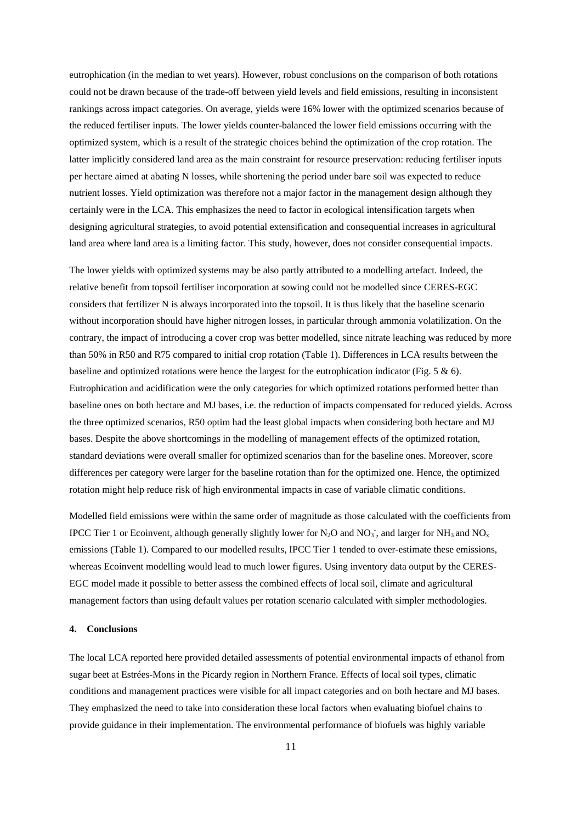eutrophication (in the median to wet years). However, robust conclusions on the comparison of both rotations could not be drawn because of the trade-off between yield levels and field emissions, resulting in inconsistent rankings across impact categories. On average, yields were 16% lower with the optimized scenarios because of the reduced fertiliser inputs. The lower yields counter-balanced the lower field emissions occurring with the optimized system, which is a result of the strategic choices behind the optimization of the crop rotation. The latter implicitly considered land area as the main constraint for resource preservation: reducing fertiliser inputs per hectare aimed at abating N losses, while shortening the period under bare soil was expected to reduce nutrient losses. Yield optimization was therefore not a major factor in the management design although they certainly were in the LCA. This emphasizes the need to factor in ecological intensification targets when designing agricultural strategies, to avoid potential extensification and consequential increases in agricultural land area where land area is a limiting factor. This study, however, does not consider consequential impacts.

The lower yields with optimized systems may be also partly attributed to a modelling artefact. Indeed, the relative benefit from topsoil fertiliser incorporation at sowing could not be modelled since CERES-EGC considers that fertilizer N is always incorporated into the topsoil. It is thus likely that the baseline scenario without incorporation should have higher nitrogen losses, in particular through ammonia volatilization. On the contrary, the impact of introducing a cover crop was better modelled, since nitrate leaching was reduced by more than 50% in R50 and R75 compared to initial crop rotation (Table 1). Differences in LCA results between the baseline and optimized rotations were hence the largest for the eutrophication indicator (Fig. 5 & 6). Eutrophication and acidification were the only categories for which optimized rotations performed better than baseline ones on both hectare and MJ bases, i.e. the reduction of impacts compensated for reduced yields. Across the three optimized scenarios, R50 optim had the least global impacts when considering both hectare and MJ bases. Despite the above shortcomings in the modelling of management effects of the optimized rotation, standard deviations were overall smaller for optimized scenarios than for the baseline ones. Moreover, score differences per category were larger for the baseline rotation than for the optimized one. Hence, the optimized rotation might help reduce risk of high environmental impacts in case of variable climatic conditions.

Modelled field emissions were within the same order of magnitude as those calculated with the coefficients from IPCC Tier 1 or Ecoinvent, although generally slightly lower for N<sub>2</sub>O and NO<sub>3</sub><sup>-</sup>, and larger for NH<sub>3</sub> and NO<sub>x</sub> emissions (Table 1). Compared to our modelled results, IPCC Tier 1 tended to over-estimate these emissions, whereas Ecoinvent modelling would lead to much lower figures. Using inventory data output by the CERES-EGC model made it possible to better assess the combined effects of local soil, climate and agricultural management factors than using default values per rotation scenario calculated with simpler methodologies.

#### **4. Conclusions**

The local LCA reported here provided detailed assessments of potential environmental impacts of ethanol from sugar beet at Estrées-Mons in the Picardy region in Northern France. Effects of local soil types, climatic conditions and management practices were visible for all impact categories and on both hectare and MJ bases. They emphasized the need to take into consideration these local factors when evaluating biofuel chains to provide guidance in their implementation. The environmental performance of biofuels was highly variable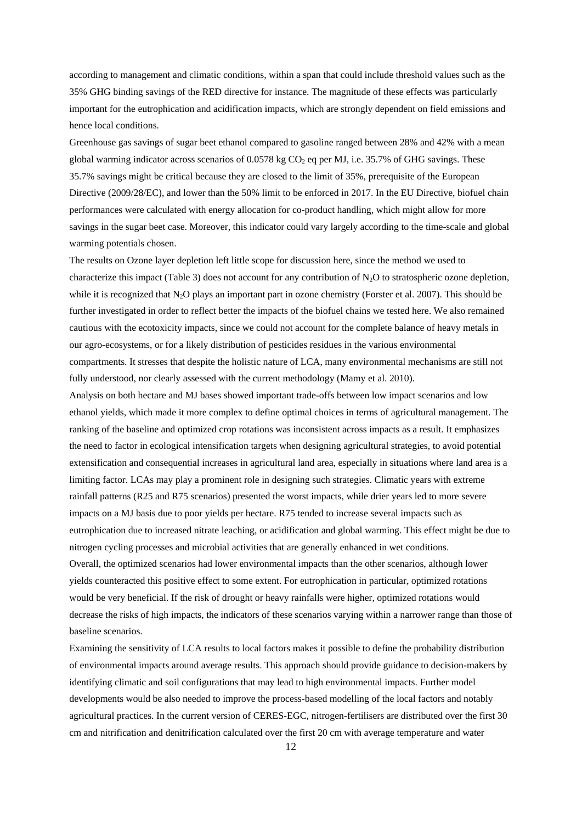according to management and climatic conditions, within a span that could include threshold values such as the 35% GHG binding savings of the RED directive for instance. The magnitude of these effects was particularly important for the eutrophication and acidification impacts, which are strongly dependent on field emissions and hence local conditions.

Greenhouse gas savings of sugar beet ethanol compared to gasoline ranged between 28% and 42% with a mean global warming indicator across scenarios of  $0.0578$  kg CO<sub>2</sub> eq per MJ, i.e. 35.7% of GHG savings. These 35.7% savings might be critical because they are closed to the limit of 35%, prerequisite of the European Directive (2009/28/EC), and lower than the 50% limit to be enforced in 2017. In the EU Directive, biofuel chain performances were calculated with energy allocation for co-product handling, which might allow for more savings in the sugar beet case. Moreover, this indicator could vary largely according to the time-scale and global warming potentials chosen.

The results on Ozone layer depletion left little scope for discussion here, since the method we used to characterize this impact (Table 3) does not account for any contribution of  $N<sub>2</sub>O$  to stratospheric ozone depletion, while it is recognized that  $N_2O$  plays an important part in ozone chemistry (Forster et al. 2007). This should be further investigated in order to reflect better the impacts of the biofuel chains we tested here. We also remained cautious with the ecotoxicity impacts, since we could not account for the complete balance of heavy metals in our agro-ecosystems, or for a likely distribution of pesticides residues in the various environmental compartments. It stresses that despite the holistic nature of LCA, many environmental mechanisms are still not fully understood, nor clearly assessed with the current methodology (Mamy et al. 2010).

Analysis on both hectare and MJ bases showed important trade-offs between low impact scenarios and low ethanol yields, which made it more complex to define optimal choices in terms of agricultural management. The ranking of the baseline and optimized crop rotations was inconsistent across impacts as a result. It emphasizes the need to factor in ecological intensification targets when designing agricultural strategies, to avoid potential extensification and consequential increases in agricultural land area, especially in situations where land area is a limiting factor. LCAs may play a prominent role in designing such strategies. Climatic years with extreme rainfall patterns (R25 and R75 scenarios) presented the worst impacts, while drier years led to more severe impacts on a MJ basis due to poor yields per hectare. R75 tended to increase several impacts such as eutrophication due to increased nitrate leaching, or acidification and global warming. This effect might be due to nitrogen cycling processes and microbial activities that are generally enhanced in wet conditions. Overall, the optimized scenarios had lower environmental impacts than the other scenarios, although lower yields counteracted this positive effect to some extent. For eutrophication in particular, optimized rotations would be very beneficial. If the risk of drought or heavy rainfalls were higher, optimized rotations would decrease the risks of high impacts, the indicators of these scenarios varying within a narrower range than those of baseline scenarios.

Examining the sensitivity of LCA results to local factors makes it possible to define the probability distribution of environmental impacts around average results. This approach should provide guidance to decision-makers by identifying climatic and soil configurations that may lead to high environmental impacts. Further model developments would be also needed to improve the process-based modelling of the local factors and notably agricultural practices. In the current version of CERES-EGC, nitrogen-fertilisers are distributed over the first 30 cm and nitrification and denitrification calculated over the first 20 cm with average temperature and water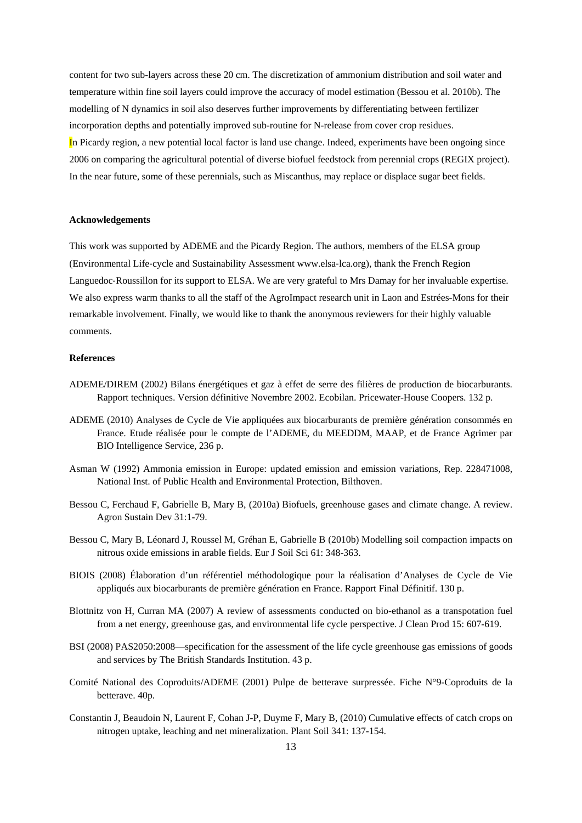content for two sub-layers across these 20 cm. The discretization of ammonium distribution and soil water and temperature within fine soil layers could improve the accuracy of model estimation (Bessou et al. 2010b). The modelling of N dynamics in soil also deserves further improvements by differentiating between fertilizer incorporation depths and potentially improved sub-routine for N-release from cover crop residues. In Picardy region, a new potential local factor is land use change. Indeed, experiments have been ongoing since 2006 on comparing the agricultural potential of diverse biofuel feedstock from perennial crops (REGIX project). In the near future, some of these perennials, such as Miscanthus, may replace or displace sugar beet fields.

#### **Acknowledgements**

This work was supported by ADEME and the Picardy Region. The authors, members of the ELSA group (Environmental Life‐cycle and Sustainability Assessment www.elsa‐lca.org), thank the French Region Languedoc‐Roussillon for its support to ELSA. We are very grateful to Mrs Damay for her invaluable expertise. We also express warm thanks to all the staff of the AgroImpact research unit in Laon and Estrées-Mons for their remarkable involvement. Finally, we would like to thank the anonymous reviewers for their highly valuable comments.

#### **References**

- ADEME/DIREM (2002) Bilans énergétiques et gaz à effet de serre des filières de production de biocarburants. Rapport techniques. Version définitive Novembre 2002. Ecobilan. Pricewater-House Coopers. 132 p.
- ADEME (2010) Analyses de Cycle de Vie appliquées aux biocarburants de première génération consommés en France. Etude réalisée pour le compte de l'ADEME, du MEEDDM, MAAP, et de France Agrimer par BIO Intelligence Service, 236 p.
- Asman W (1992) Ammonia emission in Europe: updated emission and emission variations, Rep. 228471008, National Inst. of Public Health and Environmental Protection, Bilthoven.
- Bessou C, Ferchaud F, Gabrielle B, Mary B, (2010a) Biofuels, greenhouse gases and climate change. A review. Agron Sustain Dev 31:1-79.
- Bessou C, Mary B, Léonard J, Roussel M, Gréhan E, Gabrielle B (2010b) Modelling soil compaction impacts on nitrous oxide emissions in arable fields. Eur J Soil Sci 61: 348-363.
- BIOIS (2008) Élaboration d'un référentiel méthodologique pour la réalisation d'Analyses de Cycle de Vie appliqués aux biocarburants de première génération en France. Rapport Final Définitif. 130 p.
- Blottnitz von H, Curran MA (2007) A review of assessments conducted on bio-ethanol as a transpotation fuel from a net energy, greenhouse gas, and environmental life cycle perspective. J Clean Prod 15: 607-619.
- BSI (2008) PAS2050:2008—specification for the assessment of the life cycle greenhouse gas emissions of goods and services by The British Standards Institution. 43 p.
- Comité National des Coproduits/ADEME (2001) Pulpe de betterave surpressée. Fiche N°9-Coproduits de la betterave. 40p.
- Constantin J, Beaudoin N, Laurent F, Cohan J-P, Duyme F, Mary B, (2010) Cumulative effects of catch crops on nitrogen uptake, leaching and net mineralization. Plant Soil 341: 137-154.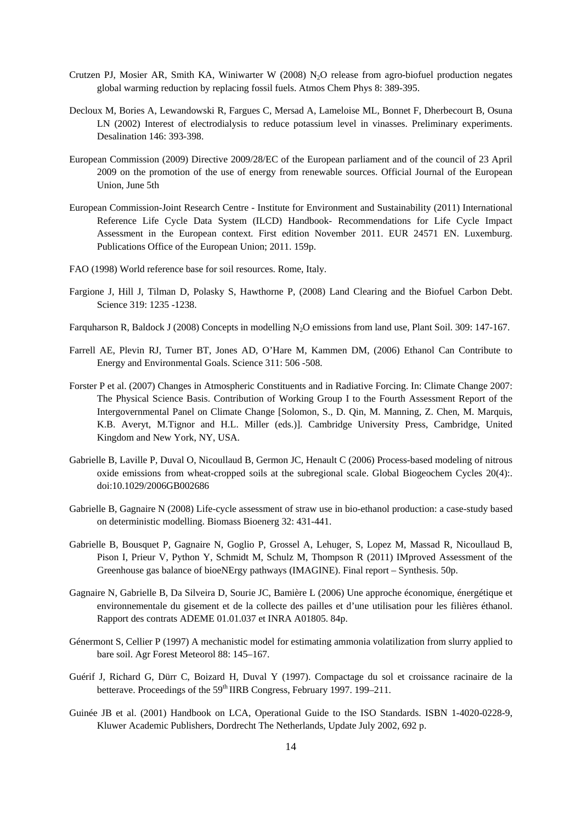- Crutzen PJ, Mosier AR, Smith KA, Winiwarter W (2008) N<sub>2</sub>O release from agro-biofuel production negates global warming reduction by replacing fossil fuels. Atmos Chem Phys 8: 389-395.
- Decloux M, Bories A, Lewandowski R, Fargues C, Mersad A, Lameloise ML, Bonnet F, Dherbecourt B, Osuna LN (2002) Interest of electrodialysis to reduce potassium level in vinasses. Preliminary experiments. Desalination 146: 393-398.
- European Commission (2009) Directive 2009/28/EC of the European parliament and of the council of 23 April 2009 on the promotion of the use of energy from renewable sources. Official Journal of the European Union, June 5th
- European Commission-Joint Research Centre Institute for Environment and Sustainability (2011) International Reference Life Cycle Data System (ILCD) Handbook- Recommendations for Life Cycle Impact Assessment in the European context. First edition November 2011. EUR 24571 EN. Luxemburg. Publications Office of the European Union; 2011. 159p.
- FAO (1998) World reference base for soil resources. Rome, Italy.
- Fargione J, Hill J, Tilman D, Polasky S, Hawthorne P, (2008) Land Clearing and the Biofuel Carbon Debt. Science 319: 1235 -1238.
- Farquharson R, Baldock J (2008) Concepts in modelling N<sub>2</sub>O emissions from land use, Plant Soil. 309: 147-167.
- Farrell AE, Plevin RJ, Turner BT, Jones AD, O'Hare M, Kammen DM, (2006) Ethanol Can Contribute to Energy and Environmental Goals. Science 311: 506 -508.
- Forster P et al. (2007) Changes in Atmospheric Constituents and in Radiative Forcing. In: Climate Change 2007: The Physical Science Basis. Contribution of Working Group I to the Fourth Assessment Report of the Intergovernmental Panel on Climate Change [Solomon, S., D. Qin, M. Manning, Z. Chen, M. Marquis, K.B. Averyt, M.Tignor and H.L. Miller (eds.)]. Cambridge University Press, Cambridge, United Kingdom and New York, NY, USA.
- Gabrielle B, Laville P, Duval O, Nicoullaud B, Germon JC, Henault C (2006) Process-based modeling of nitrous oxide emissions from wheat-cropped soils at the subregional scale. Global Biogeochem Cycles 20(4):. doi:10.1029/2006GB002686
- Gabrielle B, Gagnaire N (2008) Life-cycle assessment of straw use in bio-ethanol production: a case-study based on deterministic modelling. Biomass Bioenerg 32: 431-441.
- Gabrielle B, Bousquet P, Gagnaire N, Goglio P, Grossel A, Lehuger, S, Lopez M, Massad R, Nicoullaud B, Pison I, Prieur V, Python Y, Schmidt M, Schulz M, Thompson R (2011) IMproved Assessment of the Greenhouse gas balance of bioeNErgy pathways (IMAGINE). Final report – Synthesis. 50p.
- Gagnaire N, Gabrielle B, Da Silveira D, Sourie JC, Bamière L (2006) Une approche économique, énergétique et environnementale du gisement et de la collecte des pailles et d'une utilisation pour les filières éthanol. Rapport des contrats ADEME 01.01.037 et INRA A01805. 84p.
- Génermont S, Cellier P (1997) A mechanistic model for estimating ammonia volatilization from slurry applied to bare soil. Agr Forest Meteorol 88: 145–167.
- Guérif J, Richard G, Dürr C, Boizard H, Duval Y (1997). Compactage du sol et croissance racinaire de la betterave. Proceedings of the 59<sup>th</sup> IIRB Congress, February 1997. 199–211.
- Guinée JB et al. (2001) Handbook on LCA, Operational Guide to the ISO Standards. ISBN 1-4020-0228-9, Kluwer Academic Publishers, Dordrecht The Netherlands, Update July 2002, 692 p.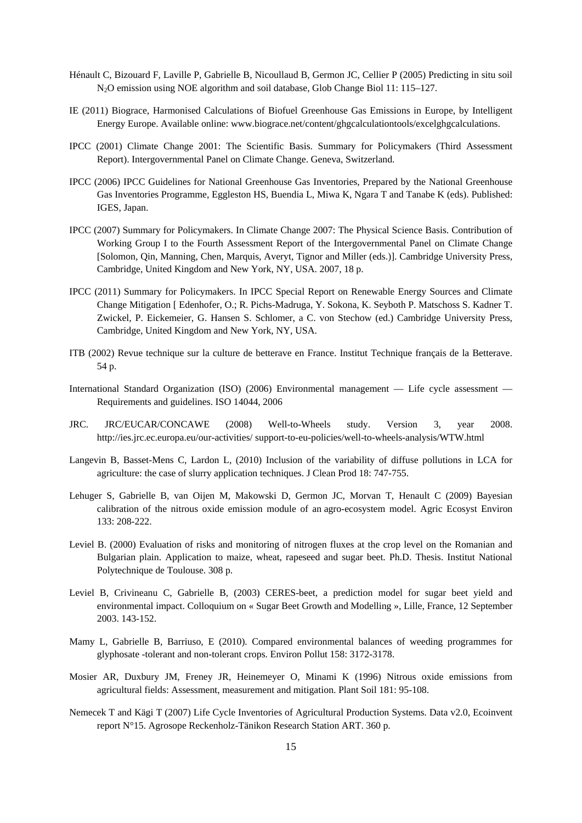- Hénault C, Bizouard F, Laville P, Gabrielle B, Nicoullaud B, Germon JC, Cellier P (2005) Predicting in situ soil N2O emission using NOE algorithm and soil database, Glob Change Biol 11: 115–127.
- IE (2011) Biograce, Harmonised Calculations of Biofuel Greenhouse Gas Emissions in Europe, by Intelligent Energy Europe. Available online: www.biograce.net/content/ghgcalculationtools/excelghgcalculations.
- IPCC (2001) Climate Change 2001: The Scientific Basis. Summary for Policymakers (Third Assessment Report). Intergovernmental Panel on Climate Change. Geneva, Switzerland.
- IPCC (2006) IPCC Guidelines for National Greenhouse Gas Inventories, Prepared by the National Greenhouse Gas Inventories Programme, Eggleston HS, Buendia L, Miwa K, Ngara T and Tanabe K (eds). Published: IGES, Japan.
- IPCC (2007) Summary for Policymakers. In Climate Change 2007: The Physical Science Basis. Contribution of Working Group I to the Fourth Assessment Report of the Intergovernmental Panel on Climate Change [Solomon, Qin, Manning, Chen, Marquis, Averyt, Tignor and Miller (eds.)]. Cambridge University Press, Cambridge, United Kingdom and New York, NY, USA. 2007, 18 p.
- IPCC (2011) Summary for Policymakers. In IPCC Special Report on Renewable Energy Sources and Climate Change Mitigation [ Edenhofer, O.; R. Pichs-Madruga, Y. Sokona, K. Seyboth P. Matschoss S. Kadner T. Zwickel, P. Eickemeier, G. Hansen S. Schlomer, a C. von Stechow (ed.) Cambridge University Press, Cambridge, United Kingdom and New York, NY, USA.
- ITB (2002) Revue technique sur la culture de betterave en France. Institut Technique français de la Betterave. 54 p.
- International Standard Organization (ISO) (2006) Environmental management Life cycle assessment Requirements and guidelines. ISO 14044, 2006
- JRC. JRC/EUCAR/CONCAWE (2008) Well-to-Wheels study. Version 3, year 2008. <http://ies.jrc.ec.europa.eu/our-activities/>support-to-eu-policies/well-to-wheels-analysis/WTW.html
- Langevin B, Basset-Mens C, Lardon L, (2010) Inclusion of the variability of diffuse pollutions in LCA for agriculture: the case of slurry application techniques. J Clean Prod 18: 747-755.
- Lehuger S, Gabrielle B, van Oijen M, Makowski D, Germon JC, Morvan T, Henault C (2009) Bayesian calibration of the nitrous oxide emission module of an agro-ecosystem model. Agric Ecosyst Environ 133: 208-222.
- Leviel B. (2000) Evaluation of risks and monitoring of nitrogen fluxes at the crop level on the Romanian and Bulgarian plain. Application to maize, wheat, rapeseed and sugar beet. Ph.D. Thesis. Institut National Polytechnique de Toulouse. 308 p.
- Leviel B, Crivineanu C, Gabrielle B, (2003) CERES-beet, a prediction model for sugar beet yield and environmental impact. Colloquium on « Sugar Beet Growth and Modelling », Lille, France, 12 September 2003. 143-152.
- Mamy L, Gabrielle B, Barriuso, E (2010). Compared environmental balances of weeding programmes for glyphosate -tolerant and non-tolerant crops. Environ Pollut 158: 3172-3178.
- Mosier AR, Duxbury JM, Freney JR, Heinemeyer O, Minami K (1996) Nitrous oxide emissions from agricultural fields: Assessment, measurement and mitigation. Plant Soil 181: 95-108.
- Nemecek T and Kägi T (2007) Life Cycle Inventories of Agricultural Production Systems. Data v2.0, Ecoinvent report N°15. Agrosope Reckenholz-Tänikon Research Station ART. 360 p.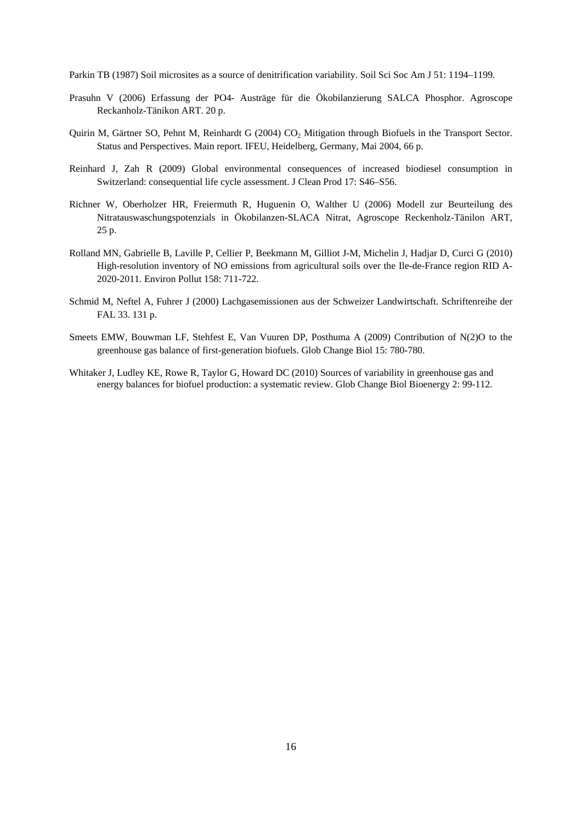Parkin TB (1987) Soil microsites as a source of denitrification variability. Soil Sci Soc Am J 51: 1194–1199.

- Prasuhn V (2006) Erfassung der PO4- Austräge für die Ökobilanzierung SALCA Phosphor. Agroscope Reckanholz-Tänikon ART. 20 p.
- Quirin M, Gärtner SO, Pehnt M, Reinhardt G (2004) CO<sub>2</sub> Mitigation through Biofuels in the Transport Sector. Status and Perspectives. Main report. IFEU, Heidelberg, Germany, Mai 2004, 66 p.
- Reinhard J, Zah R (2009) Global environmental consequences of increased biodiesel consumption in Switzerland: consequential life cycle assessment. J Clean Prod 17: S46–S56.
- Richner W, Oberholzer HR, Freiermuth R, Huguenin O, Walther U (2006) Modell zur Beurteilung des Nitratauswaschungspotenzials in Ökobilanzen-SLACA Nitrat, Agroscope Reckenholz-Tänilon ART, 25 p.
- Rolland MN, Gabrielle B, Laville P, Cellier P, Beekmann M, Gilliot J-M, Michelin J, Hadjar D, Curci G (2010) High-resolution inventory of NO emissions from agricultural soils over the Ile-de-France region RID A-2020-2011. Environ Pollut 158: 711-722.
- Schmid M, Neftel A, Fuhrer J (2000) Lachgasemissionen aus der Schweizer Landwirtschaft. Schriftenreihe der FAL 33. 131 p.
- Smeets EMW, Bouwman LF, Stehfest E, Van Vuuren DP, Posthuma A (2009) Contribution of N(2)O to the greenhouse gas balance of first-generation biofuels. Glob Change Biol 15: 780-780.
- Whitaker J, Ludley KE, Rowe R, Taylor G, Howard DC (2010) Sources of variability in greenhouse gas and energy balances for biofuel production: a systematic review. Glob Change Biol Bioenergy 2: 99-112.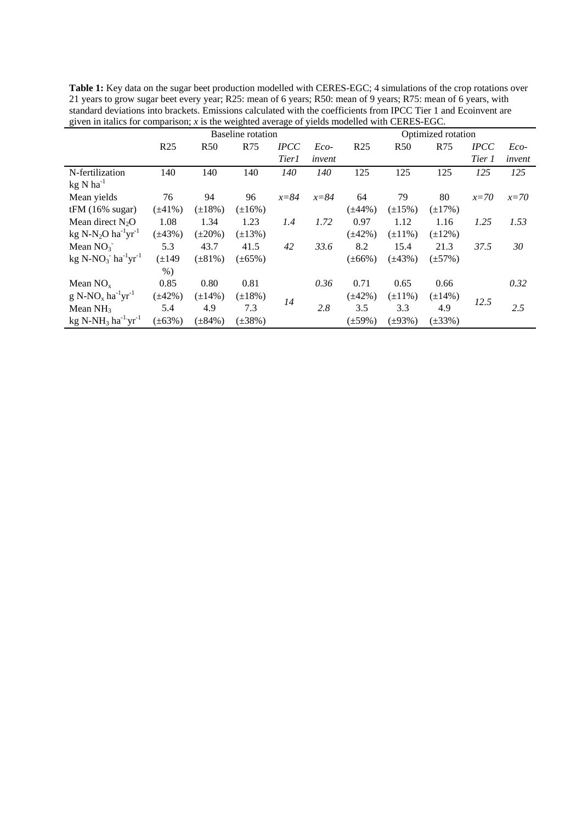**Table 1:** Key data on the sugar beet production modelled with CERES-EGC; 4 simulations of the crop rotations over 21 years to grow sugar beet every year; R25: mean of 6 years; R50: mean of 9 years; R75: mean of 6 years, with standard deviations into brackets. Emissions calculated with the coefficients from IPCC Tier 1 and Ecoinvent are given in italics for comparison; *x* is the weighted average of yields modelled with CERES-EGC.

|                                                         | <b>Baseline</b> rotation |                 |              |              |        | Optimized rotation |              |              |             |        |
|---------------------------------------------------------|--------------------------|-----------------|--------------|--------------|--------|--------------------|--------------|--------------|-------------|--------|
|                                                         | R <sub>25</sub>          | R <sub>50</sub> | R75          | <b>IPCC</b>  | Eco-   | R <sub>25</sub>    | <b>R50</b>   | R75          | <i>IPCC</i> | Eco-   |
|                                                         |                          |                 |              | <b>Tier1</b> | invent |                    |              |              | Tier 1      | invent |
| N-fertilization                                         | 140                      | 140             | 140          | 140          | 140    | 125                | 125          | 125          | 125         | 125    |
| $kg$ N ha <sup>-1</sup>                                 |                          |                 |              |              |        |                    |              |              |             |        |
| Mean yields                                             | 76                       | 94              | 96           | $x = 84$     | $x=84$ | 64                 | 79           | 80           | $x=70$      | $x=70$ |
| $tFM(16\% sugar)$                                       | $(\pm 41\%)$             | $(\pm 18\%)$    | $(\pm 16\%)$ |              |        | $(\pm 44\%)$       | $(\pm 15\%)$ | $(\pm 17\%)$ |             |        |
| Mean direct $N_2O$                                      | 1.08                     | 1.34            | 1.23         | 1.4          | 1.72   | 0.97               | 1.12         | 1.16         | 1.25        | 1.53   |
| kg N-N <sub>2</sub> O ha <sup>-1</sup> yr <sup>-1</sup> | $(\pm 43\%)$             | $(\pm 20\%)$    | $(\pm 13\%)$ |              |        | $(\pm 42\%)$       | $(\pm 11\%)$ | $(\pm 12\%)$ |             |        |
| Mean $NO_3^-$                                           | 5.3                      | 43.7            | 41.5         | 42           | 33.6   | 8.2                | 15.4         | 21.3         | 37.5        | 30     |
| $kg N-NO3 ha-1yr-1$                                     | $(\pm 149)$              | $(\pm 81\%)$    | $(\pm 65\%)$ |              |        | $(\pm 66\%)$       | $(\pm 43\%)$ | $(\pm 57\%)$ |             |        |
|                                                         | $%$ )                    |                 |              |              |        |                    |              |              |             |        |
| Mean $NO_x$                                             | 0.85                     | 0.80            | 0.81         |              | 0.36   | 0.71               | 0.65         | 0.66         |             | 0.32   |
| $g N-NOx ha-1yr-1$                                      | $(\pm 42\%)$             | $(\pm 14\%)$    | $(\pm 18\%)$ | 14           |        | $(\pm 42\%)$       | $(\pm 11\%)$ | $(\pm 14\%)$ | 12.5        |        |
| Mean $NH3$                                              | 5.4                      | 4.9             | 7.3          |              | 2.8    | 3.5                | 3.3          | 4.9          |             | 2.5    |
| kg N-NH <sub>3</sub> ha <sup>-1</sup> yr <sup>-1</sup>  | $(\pm 63\%)$             | $(\pm 84\%)$    | $(\pm 38\%)$ |              |        | $(\pm 59\%)$       | $(\pm 93%)$  | $(\pm 33\%)$ |             |        |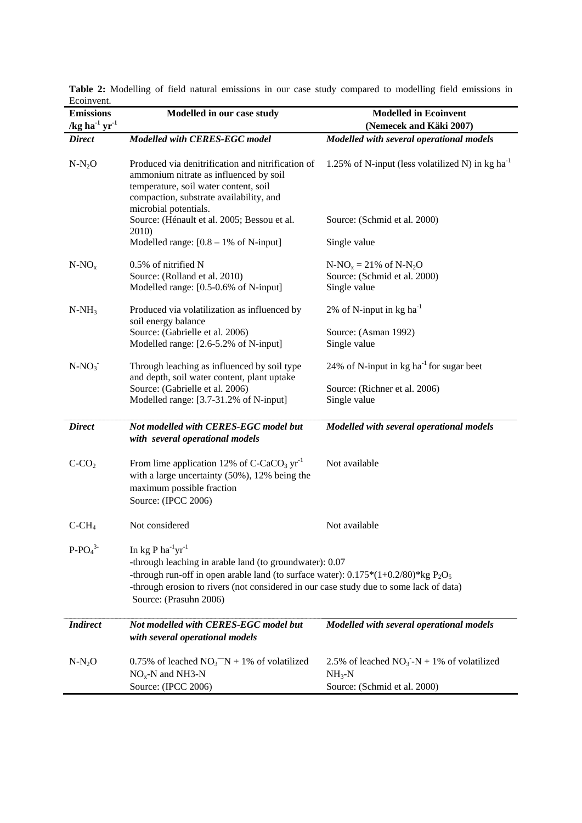| <b>Emissions</b><br>/kg ha <sup>-1</sup> yr <sup>-1</sup> | Modelled in our case study                                                                                                                                                                                                                                                                       | <b>Modelled in Ecoinvent</b><br>(Nemecek and Käki 2007)                            |  |  |  |
|-----------------------------------------------------------|--------------------------------------------------------------------------------------------------------------------------------------------------------------------------------------------------------------------------------------------------------------------------------------------------|------------------------------------------------------------------------------------|--|--|--|
| <b>Direct</b>                                             | Modelled with CERES-EGC model                                                                                                                                                                                                                                                                    | Modelled with several operational models                                           |  |  |  |
| $N-N2O$                                                   | Produced via denitrification and nitrification of<br>ammonium nitrate as influenced by soil<br>temperature, soil water content, soil<br>compaction, substrate availability, and<br>microbial potentials.                                                                                         | 1.25% of N-input (less volatilized N) in $kg \, ha^{-1}$                           |  |  |  |
|                                                           | Source: (Hénault et al. 2005; Bessou et al.<br>2010)                                                                                                                                                                                                                                             | Source: (Schmid et al. 2000)                                                       |  |  |  |
|                                                           | Modelled range: $[0.8 - 1\% \text{ of N-input}]$                                                                                                                                                                                                                                                 | Single value                                                                       |  |  |  |
| $N-NOx$                                                   | 0.5% of nitrified N<br>Source: (Rolland et al. 2010)<br>Modelled range: [0.5-0.6% of N-input]                                                                                                                                                                                                    | $N-NO_x = 21\% \text{ of } N-N_2O$<br>Source: (Schmid et al. 2000)<br>Single value |  |  |  |
| $N-NH_3$                                                  | Produced via volatilization as influenced by<br>soil energy balance                                                                                                                                                                                                                              | 2% of N-input in $kg \text{ ha}^{-1}$                                              |  |  |  |
|                                                           | Source: (Gabrielle et al. 2006)<br>Modelled range: [2.6-5.2% of N-input]                                                                                                                                                                                                                         | Source: (Asman 1992)<br>Single value                                               |  |  |  |
| $N-NO_3$                                                  | Through leaching as influenced by soil type<br>and depth, soil water content, plant uptake                                                                                                                                                                                                       | 24% of N-input in $kg \text{ ha}^{-1}$ for sugar beet                              |  |  |  |
|                                                           | Source: (Gabrielle et al. 2006)<br>Modelled range: [3.7-31.2% of N-input]                                                                                                                                                                                                                        | Source: (Richner et al. 2006)<br>Single value                                      |  |  |  |
| <b>Direct</b>                                             | Not modelled with CERES-EGC model but<br>with several operational models                                                                                                                                                                                                                         | Modelled with several operational models                                           |  |  |  |
| $C-CO2$                                                   | From lime application 12% of $C$ -CaCO <sub>3</sub> yr <sup>-1</sup><br>with a large uncertainty (50%), 12% being the<br>maximum possible fraction<br>Source: (IPCC 2006)                                                                                                                        | Not available                                                                      |  |  |  |
| $C$ - $CH4$                                               | Not considered                                                                                                                                                                                                                                                                                   | Not available                                                                      |  |  |  |
| $P-PO43$                                                  | In kg P $ha^{-1}yr^{-1}$<br>-through leaching in arable land (to groundwater): 0.07<br>-through run-off in open arable land (to surface water): $0.175*(1+0.2/80)*kg P_2O_5$<br>-through erosion to rivers (not considered in our case study due to some lack of data)<br>Source: (Prasuhn 2006) |                                                                                    |  |  |  |
| <b>Indirect</b>                                           | Not modelled with CERES-EGC model but<br>with several operational models                                                                                                                                                                                                                         | Modelled with several operational models                                           |  |  |  |
| $N-N2O$                                                   | 0.75% of leached $NO_3$ <sup>--</sup> N + 1% of volatilized<br>$NOx$ -N and NH3-N                                                                                                                                                                                                                | 2.5% of leached $NO_3 - N + 1\%$ of volatilized<br>$NH3-N$                         |  |  |  |
|                                                           | Source: (IPCC 2006)                                                                                                                                                                                                                                                                              | Source: (Schmid et al. 2000)                                                       |  |  |  |

**Table 2:** Modelling of field natural emissions in our case study compared to modelling field emissions in Ecoinvent.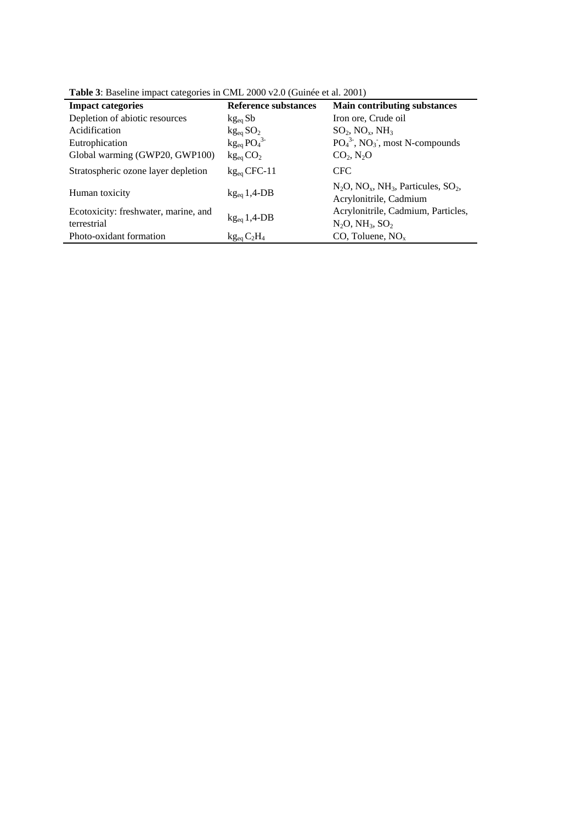| <b>Impact categories</b>                            | Reference substances                    | <b>Main contributing substances</b>                                       |  |  |
|-----------------------------------------------------|-----------------------------------------|---------------------------------------------------------------------------|--|--|
| Depletion of abiotic resources                      | $kg_{eq}Sb$                             | Iron ore, Crude oil                                                       |  |  |
| Acidification                                       | $kg_{eq}$ $SO_2$                        | $SO_2$ , NO <sub>x</sub> , NH <sub>3</sub>                                |  |  |
| Eutrophication                                      | $kg_{eq}$ PO <sub>4</sub> <sup>3-</sup> | $PO43$ , NO <sub>3</sub> , most N-compounds                               |  |  |
| Global warming (GWP20, GWP100)                      | $kg_{eq}CO2$                            | $CO2$ , N <sub>2</sub> O                                                  |  |  |
| Stratospheric ozone layer depletion                 | $kg_{eq}$ CFC-11                        | <b>CFC</b>                                                                |  |  |
| Human toxicity                                      | $kg_{eq}$ 1,4-DB                        | $N_2O$ , $NO_x$ , $NH_3$ , Particules, $SO_2$ ,<br>Acrylonitrile, Cadmium |  |  |
| Ecotoxicity: freshwater, marine, and<br>terrestrial | $kg_{eq}$ 1,4-DB                        | Acrylonitrile, Cadmium, Particles,<br>$N2O$ , $NH3$ , $SO2$               |  |  |
| Photo-oxidant formation                             | $kg_{eq}C_2H_4$                         | $CO$ , Toluene, $NOx$                                                     |  |  |

**Table 3**: Baseline impact categories in CML 2000 v2.0 (Guinée et al. 2001)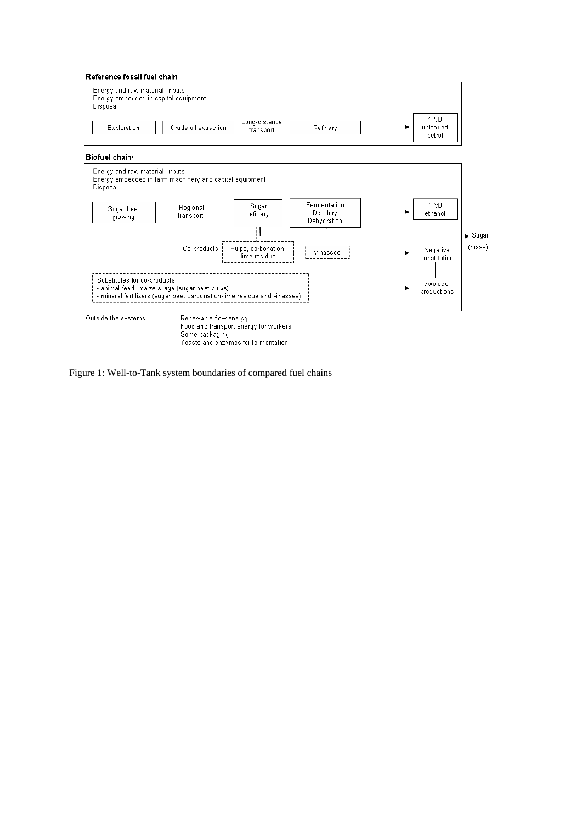



Figure 1: Well-to-Tank system boundaries of compared fuel chains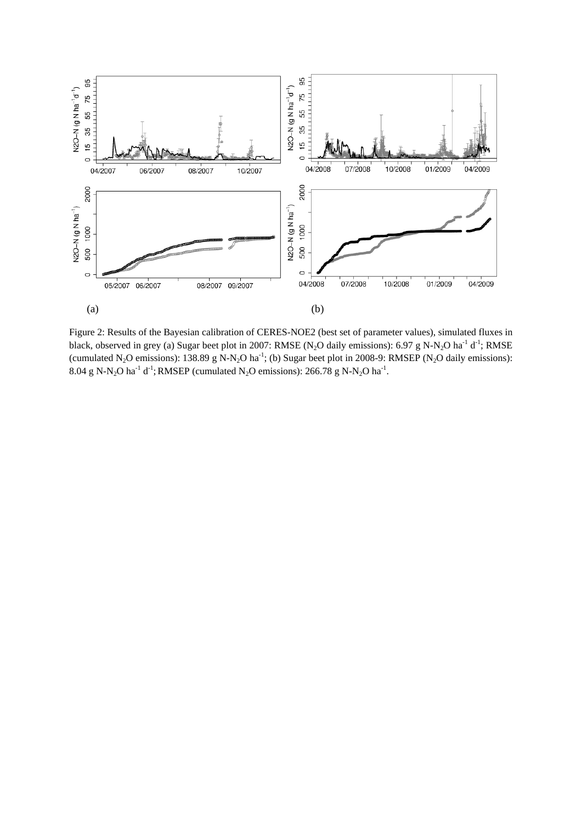

Figure 2: Results of the Bayesian calibration of CERES-NOE2 (best set of parameter values), simulated fluxes in black, observed in grey (a) Sugar beet plot in 2007: RMSE (N<sub>2</sub>O daily emissions): 6.97 g N-N<sub>2</sub>O ha<sup>-1</sup> d<sup>-1</sup>; RMSE (cumulated N<sub>2</sub>O emissions): 138.89 g N-N<sub>2</sub>O ha<sup>-1</sup>; (b) Sugar beet plot in 2008-9: RMSEP (N<sub>2</sub>O daily emissions): 8.04 g N-N<sub>2</sub>O ha<sup>-1</sup> d<sup>-1</sup>; RMSEP (cumulated N<sub>2</sub>O emissions): 266.78 g N-N<sub>2</sub>O ha<sup>-1</sup>.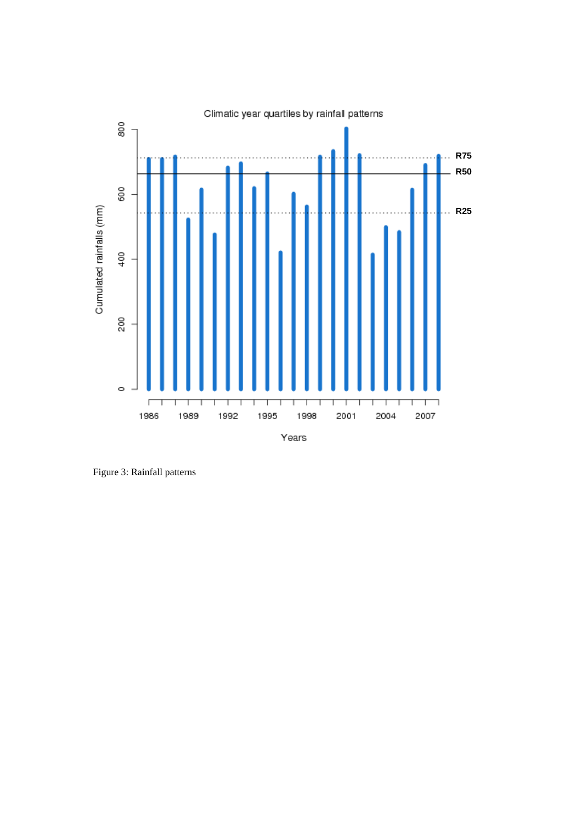

Figure 3: Rainfall patterns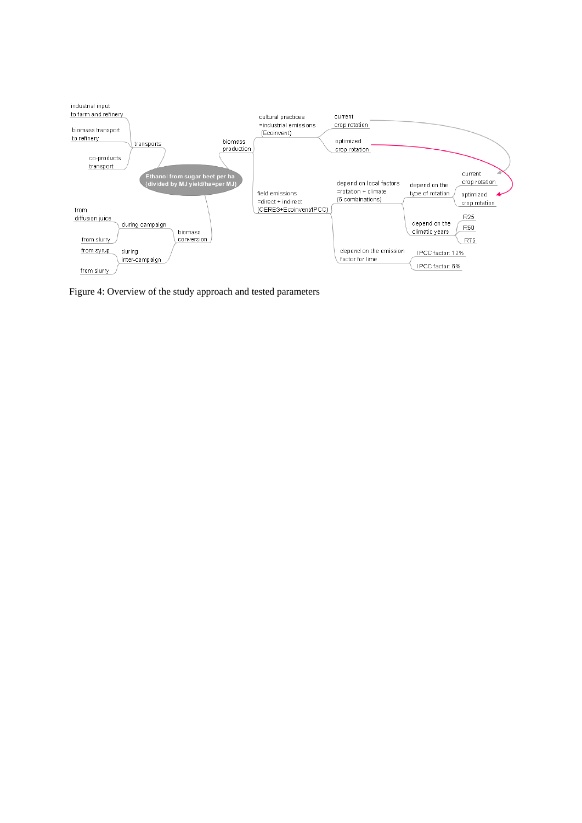

Figure 4: Overview of the study approach and tested parameters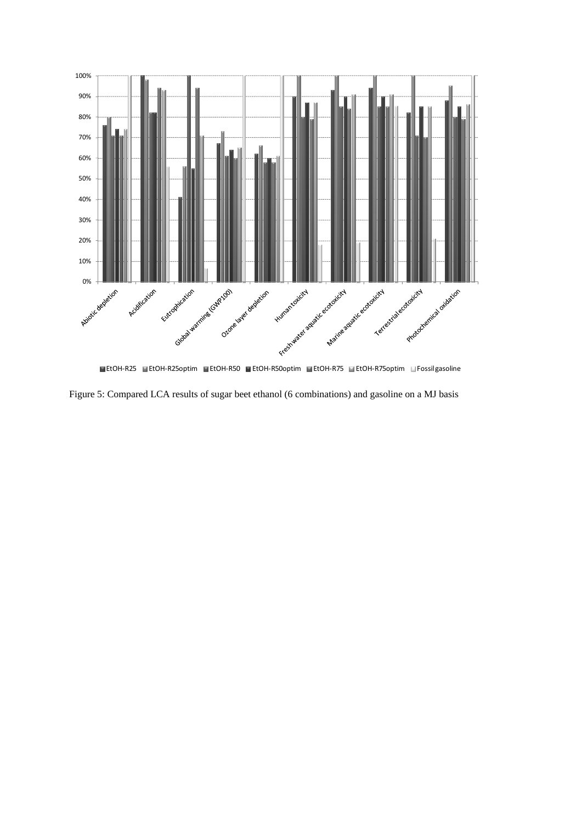

EtOH‐R25 EtOH‐R25optim EtOH‐R50 EtOH‐R50optim EtOH‐R75 EtOH‐R75optim Fossilgasoline Figure 5: Compared LCA results of sugar beet ethanol (6 combinations) and gasoline on a MJ basis